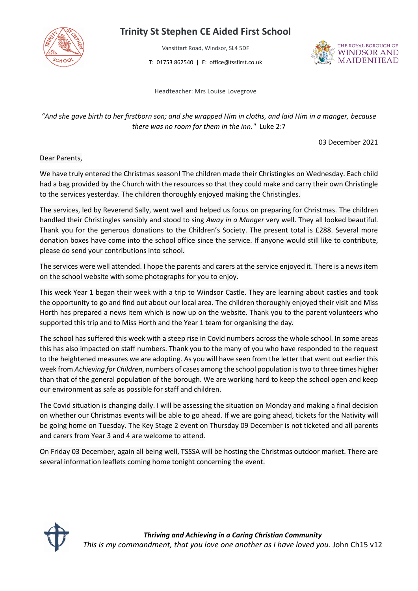

## **Trinity St Stephen CE Aided First School**

Vansittart Road, Windsor, SL4 5DF

T: 01753 862540 | E: office@tssfirst.co.uk



Headteacher: Mrs Louise Lovegrove

## *"And she gave birth to her firstborn son; and she wrapped Him in cloths, and laid Him in a manger, because there was no room for them in the inn."* Luke 2:7

03 December 2021

Dear Parents,

We have truly entered the Christmas season! The children made their Christingles on Wednesday. Each child had a bag provided by the Church with the resources so that they could make and carry their own Christingle to the services yesterday. The children thoroughly enjoyed making the Christingles.

The services, led by Reverend Sally, went well and helped us focus on preparing for Christmas. The children handled their Christingles sensibly and stood to sing *Away in a Manger* very well. They all looked beautiful. Thank you for the generous donations to the Children's Society. The present total is £288. Several more donation boxes have come into the school office since the service. If anyone would still like to contribute, please do send your contributions into school.

The services were well attended. I hope the parents and carers at the service enjoyed it. There is a news item on the school website with some photographs for you to enjoy.

This week Year 1 began their week with a trip to Windsor Castle. They are learning about castles and took the opportunity to go and find out about our local area. The children thoroughly enjoyed their visit and Miss Horth has prepared a news item which is now up on the website. Thank you to the parent volunteers who supported this trip and to Miss Horth and the Year 1 team for organising the day.

The school has suffered this week with a steep rise in Covid numbers across the whole school. In some areas this has also impacted on staff numbers. Thank you to the many of you who have responded to the request to the heightened measures we are adopting. As you will have seen from the letter that went out earlier this week from *Achieving for Children*, numbers of cases among the school population is two to three times higher than that of the general population of the borough. We are working hard to keep the school open and keep our environment as safe as possible for staff and children.

The Covid situation is changing daily. I will be assessing the situation on Monday and making a final decision on whether our Christmas events will be able to go ahead. If we are going ahead, tickets for the Nativity will be going home on Tuesday. The Key Stage 2 event on Thursday 09 December is not ticketed and all parents and carers from Year 3 and 4 are welcome to attend.

On Friday 03 December, again all being well, TSSSA will be hosting the Christmas outdoor market. There are several information leaflets coming home tonight concerning the event.